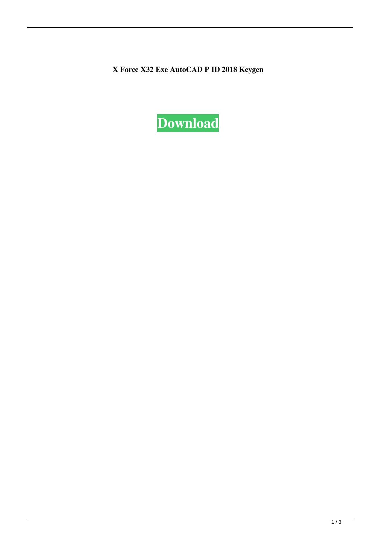X Force X32 Exe AutoCAD P ID 2018 Keygen

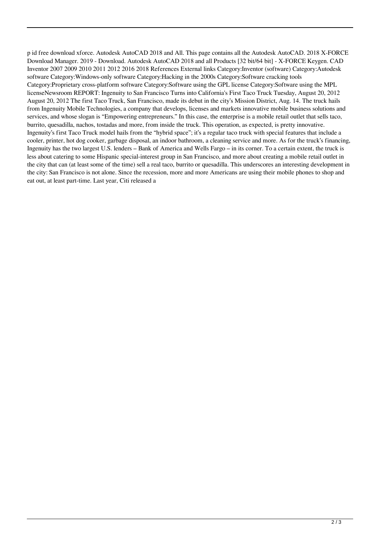p id free download xforce. Autodesk AutoCAD 2018 and All. This page contains all the Autodesk AutoCAD. 2018 X-FORCE Download Manager. 2019 - Download. Autodesk AutoCAD 2018 and all Products [32 bit/64 bit] - X-FORCE Keygen. CAD Inventor 2007 2009 2010 2011 2012 2016 2018 References External links Category:Inventor (software) Category:Autodesk software Category:Windows-only software Category:Hacking in the 2000s Category:Software cracking tools Category:Proprietary cross-platform software Category:Software using the GPL license Category:Software using the MPL licenseNewsroom REPORT: Ingenuity to San Francisco Turns into California's First Taco Truck Tuesday, August 20, 2012 August 20, 2012 The first Taco Truck, San Francisco, made its debut in the city's Mission District, Aug. 14. The truck hails from Ingenuity Mobile Technologies, a company that develops, licenses and markets innovative mobile business solutions and services, and whose slogan is "Empowering entrepreneurs." In this case, the enterprise is a mobile retail outlet that sells taco, burrito, quesadilla, nachos, tostadas and more, from inside the truck. This operation, as expected, is pretty innovative. Ingenuity's first Taco Truck model hails from the "hybrid space"; it's a regular taco truck with special features that include a cooler, printer, hot dog cooker, garbage disposal, an indoor bathroom, a cleaning service and more. As for the truck's financing, Ingenuity has the two largest U.S. lenders – Bank of America and Wells Fargo – in its corner. To a certain extent, the truck is less about catering to some Hispanic special-interest group in San Francisco, and more about creating a mobile retail outlet in the city that can (at least some of the time) sell a real taco, burrito or quesadilla. This underscores an interesting development in the city: San Francisco is not alone. Since the recession, more and more Americans are using their mobile phones to shop and eat out, at least part-time. Last year, Citi released a